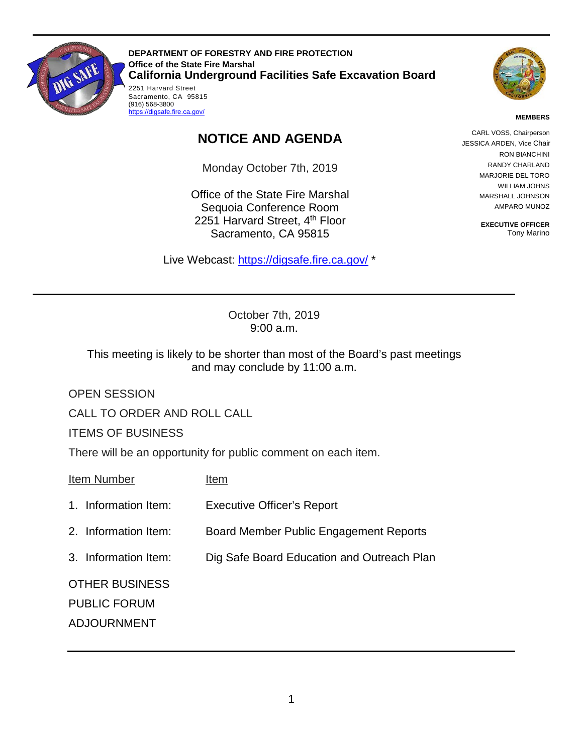

**DEPARTMENT OF FORESTRY AND FIRE PROTECTION Office of the State Fire Marshal California Underground Facilities Safe Excavation Board**  2251 Harvard Street



## **MEMBERS**

## **NOTICE AND AGENDA**

Monday October 7th, 2019

Office of the State Fire Marshal Sequoia Conference Room 2251 Harvard Street, 4<sup>th</sup> Floor Sacramento, CA 95815

Live Webcast: [https://digsafe.fire.ca.gov/](https://global.gotomeeting.com/join/883967957) \*

CARL VOSS, Chairperson JESSICA ARDEN, Vice Chair RON BIANCHINI RANDY CHARLAND MARJORIE DEL TORO WILLIAM JOHNS MARSHALL JOHNSON AMPARO MUNOZ

> **EXECUTIVE OFFICER**  Tony Marino

 October 7th, 2019 9:00 a.m.

This meeting is likely to be shorter than most of the Board's past meetings and may conclude by 11:00 a.m.

OPEN SESSION

CALL TO ORDER AND ROLL CALL

ITEMS OF BUSINESS

| There will be an opportunity for public comment on each item. |                                            |
|---------------------------------------------------------------|--------------------------------------------|
| Item Number                                                   | Item                                       |
| 1. Information Item:                                          | <b>Executive Officer's Report</b>          |
| 2. Information Item:                                          | Board Member Public Engagement Reports     |
| 3. Information Item:                                          | Dig Safe Board Education and Outreach Plan |
| <b>OTHER BUSINESS</b>                                         |                                            |
| <b>PUBLIC FORUM</b>                                           |                                            |
| <b>ADJOURNMENT</b>                                            |                                            |
|                                                               |                                            |